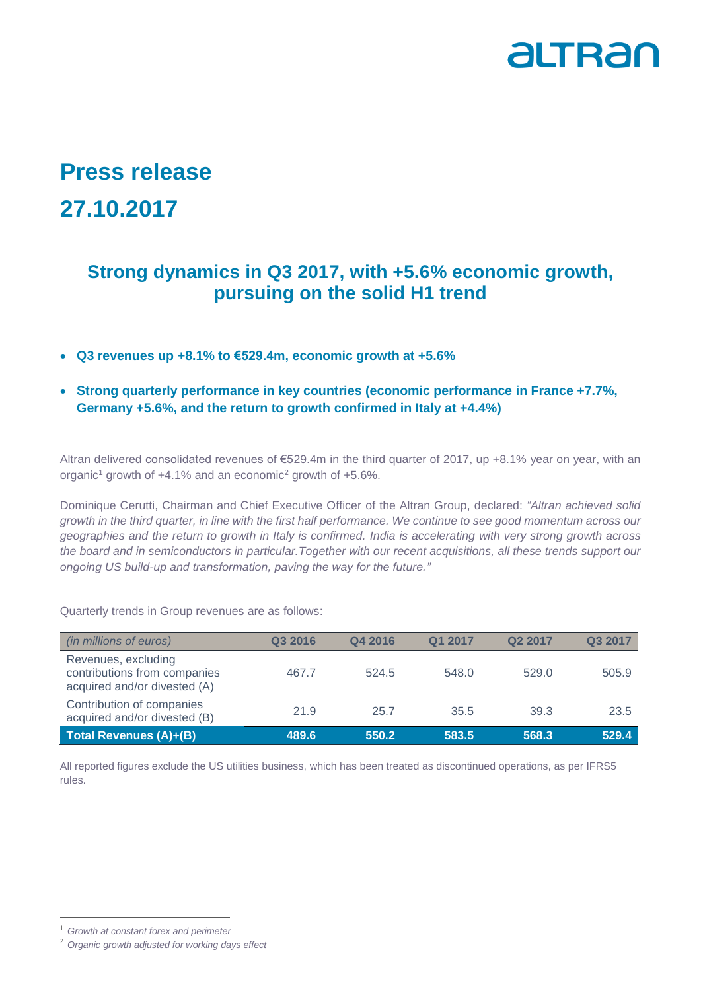

## **Press release 27.10.2017**

## **Strong dynamics in Q3 2017, with +5.6% economic growth, pursuing on the solid H1 trend**

- **Q3 revenues up +8.1% to €529.4m, economic growth at +5.6%**
- **Strong quarterly performance in key countries (economic performance in France +7.7%, Germany +5.6%, and the return to growth confirmed in Italy at +4.4%)**

Altran delivered consolidated revenues of €529.4m in the third quarter of 2017, up +8.1% year on year, with an organic<sup>1</sup> growth of  $+4.1\%$  and an economic<sup>2</sup> growth of  $+5.6\%$ .

Dominique Cerutti, Chairman and Chief Executive Officer of the Altran Group, declared: *"Altran achieved solid growth in the third quarter, in line with the first half performance. We continue to see good momentum across our geographies and the return to growth in Italy is confirmed. India is accelerating with very strong growth across the board and in semiconductors in particular.Together with our recent acquisitions, all these trends support our ongoing US build-up and transformation, paving the way for the future."*

Quarterly trends in Group revenues are as follows:

| (in millions of euros)                                                              | Q3 2016 | Q4 2016 | Q1 2017 | Q <sub>2</sub> 2017 | Q3 2017 |
|-------------------------------------------------------------------------------------|---------|---------|---------|---------------------|---------|
| Revenues, excluding<br>contributions from companies<br>acquired and/or divested (A) | 467.7   | 524.5   | 548.0   | 529.0               | 505.9   |
| Contribution of companies<br>acquired and/or divested (B)                           | 21.9    | 25.7    | 35.5    | 39.3                | 23.5    |
| Total Revenues (A)+(B)                                                              | 489.6   | 550.2   | 583.5   | 568.3               | 529.4   |

All reported figures exclude the US utilities business, which has been treated as discontinued operations, as per IFRS5 rules.

-

<sup>1</sup> *Growth at constant forex and perimeter*

<sup>2</sup> *Organic growth adjusted for working days effect*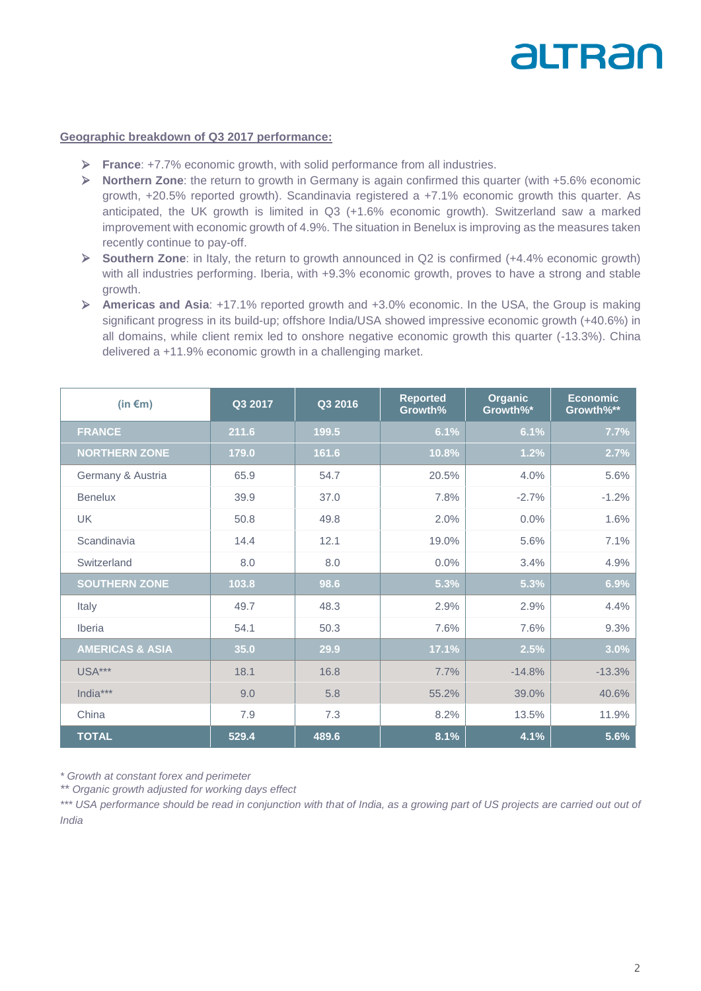# altran

#### **Geographic breakdown of Q3 2017 performance:**

- **France**: +7.7% economic growth, with solid performance from all industries.
- **Northern Zone**: the return to growth in Germany is again confirmed this quarter (with +5.6% economic growth, +20.5% reported growth). Scandinavia registered a +7.1% economic growth this quarter. As anticipated, the UK growth is limited in Q3 (+1.6% economic growth). Switzerland saw a marked improvement with economic growth of 4.9%. The situation in Benelux is improving as the measures taken recently continue to pay-off.
- **Southern Zone**: in Italy, the return to growth announced in Q2 is confirmed (+4.4% economic growth) with all industries performing. Iberia, with +9.3% economic growth, proves to have a strong and stable growth.
- **Americas and Asia**: +17.1% reported growth and +3.0% economic. In the USA, the Group is making significant progress in its build-up; offshore India/USA showed impressive economic growth (+40.6%) in all domains, while client remix led to onshore negative economic growth this quarter (-13.3%). China delivered a +11.9% economic growth in a challenging market.

| (in $\epsilon$ m)          | Q3 2017 | Q3 2016 | <b>Reported</b><br>Growth% | <b>Organic</b><br>Growth%* | Economic<br>Growth%** |
|----------------------------|---------|---------|----------------------------|----------------------------|-----------------------|
| <b>FRANCE</b>              | 211.6   | 199.5   | 6.1%                       | 6.1%                       | 7.7%                  |
| <b>NORTHERN ZONE</b>       | 179.0   | 161.6   | 10.8%                      | 1.2%                       | 2.7%                  |
| Germany & Austria          | 65.9    | 54.7    | 20.5%                      | 4.0%                       | 5.6%                  |
| <b>Benelux</b>             | 39.9    | 37.0    | 7.8%                       | $-2.7%$                    | $-1.2%$               |
| <b>UK</b>                  | 50.8    | 49.8    | 2.0%                       | 0.0%                       | 1.6%                  |
| Scandinavia                | 14.4    | 12.1    | 19.0%                      | 5.6%                       | 7.1%                  |
| Switzerland                | 8.0     | 8.0     | 0.0%                       | 3.4%                       | 4.9%                  |
| <b>SOUTHERN ZONE</b>       | 103.8   | 98.6    | 5.3%                       | 5.3%                       | 6.9%                  |
| Italy                      | 49.7    | 48.3    | 2.9%                       | 2.9%                       | 4.4%                  |
| Iberia                     | 54.1    | 50.3    | 7.6%                       | 7.6%                       | 9.3%                  |
| <b>AMERICAS &amp; ASIA</b> | 35.0    | 29.9    | 17.1%                      | 2.5%                       | 3.0%                  |
| <b>USA***</b>              | 18.1    | 16.8    | 7.7%                       | $-14.8%$                   | $-13.3%$              |
| India***                   | 9.0     | 5.8     | 55.2%                      | 39.0%                      | 40.6%                 |
| China                      | 7.9     | 7.3     | 8.2%                       | 13.5%                      | 11.9%                 |
| <b>TOTAL</b>               | 529.4   | 489.6   | 8.1%                       | 4.1%                       | 5.6%                  |

*\* Growth at constant forex and perimeter*

*\*\* Organic growth adjusted for working days effect*

*\*\*\* USA performance should be read in conjunction with that of India, as a growing part of US projects are carried out out of India*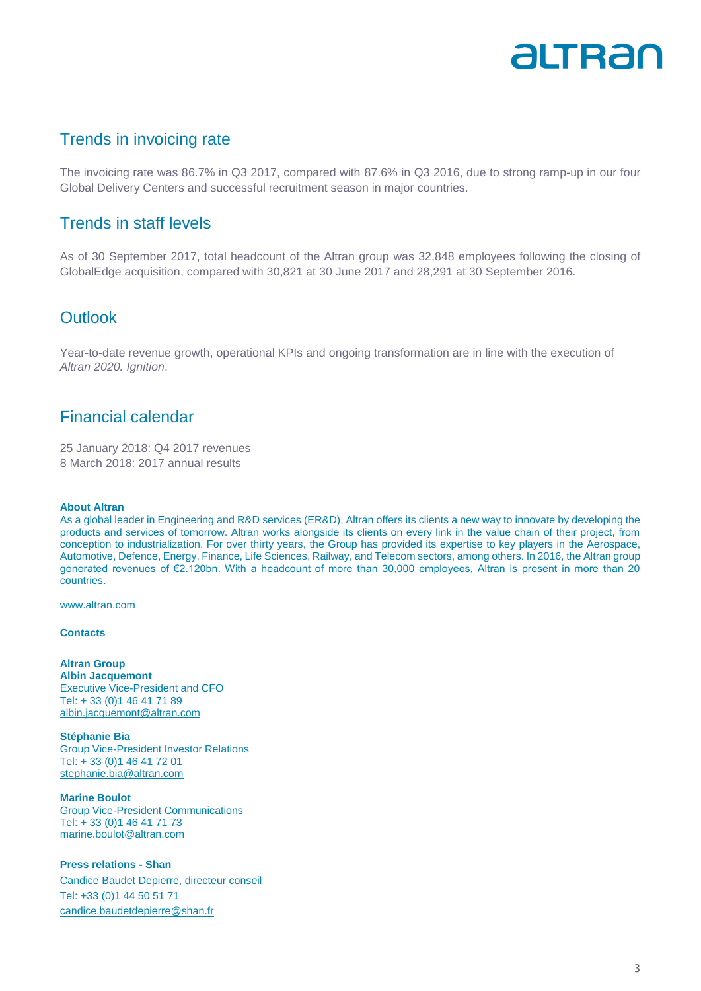## altran

## Trends in invoicing rate

The invoicing rate was 86.7% in Q3 2017, compared with 87.6% in Q3 2016, due to strong ramp-up in our four Global Delivery Centers and successful recruitment season in major countries.

### Trends in staff levels

As of 30 September 2017, total headcount of the Altran group was 32,848 employees following the closing of GlobalEdge acquisition, compared with 30,821 at 30 June 2017 and 28,291 at 30 September 2016.

### **Outlook**

Year-to-date revenue growth, operational KPIs and ongoing transformation are in line with the execution of *Altran 2020. Ignition*.

## Financial calendar

25 January 2018: Q4 2017 revenues 8 March 2018: 2017 annual results

#### **About Altran**

As a global leader in Engineering and R&D services (ER&D), Altran offers its clients a new way to innovate by developing the products and services of tomorrow. Altran works alongside its clients on every link in the value chain of their project, from conception to industrialization. For over thirty years, the Group has provided its expertise to key players in the Aerospace, Automotive, Defence, Energy, Finance, Life Sciences, Railway, and Telecom sectors, among others. In 2016, the Altran group generated revenues of €2.120bn. With a headcount of more than 30,000 employees, Altran is present in more than 20 countries.

www.altran.com

#### **Contacts**

**Altran Group Albin Jacquemont** Executive Vice-President and CFO Tel: + 33 (0)1 46 41 71 89 [albin.jacquemont@altran.com](mailto:comfi@altran.com)

**Stéphanie Bia** Group Vice-President Investor Relations Tel: + 33 (0)1 46 41 72 01 [stephanie.bia@altran.com](mailto:stephanie.bia@altran.com)

**Marine Boulot** Group Vice-President Communications Tel: + 33 (0)1 46 41 71 73 [marine.boulot@altran.com](mailto:marine.boulot@altran.com)

#### **Press relations - Shan**

Candice Baudet Depierre, directeur conseil Tel: +33 (0)1 44 50 51 71 [candice.baudetdepierre@shan.fr](mailto:candice.baudetdepierre@shan.fr)